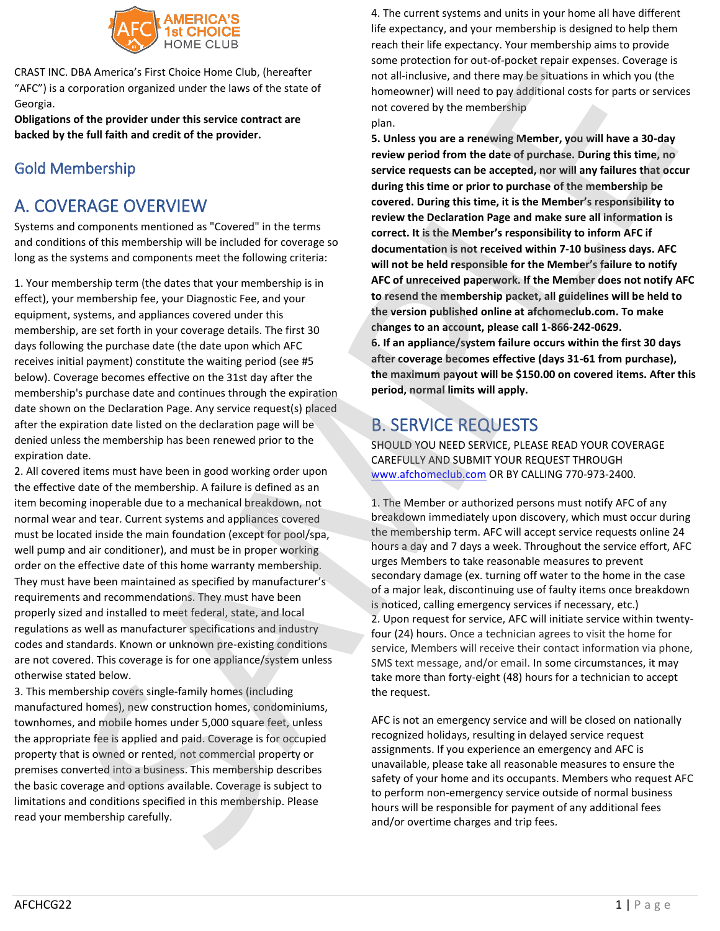

CRAST INC. DBA America's First Choice Home Club, (hereafter "AFC") is a corporation organized under the laws of the state of Georgia.

**Obligations of the provider under this service contract are backed by the full faith and credit of the provider.**

# Gold Membership

# A. COVERAGE OVERVIEW

Systems and components mentioned as "Covered" in the terms and conditions of this membership will be included for coverage so long as the systems and components meet the following criteria:

1. Your membership term (the dates that your membership is in effect), your membership fee, your Diagnostic Fee, and your equipment, systems, and appliances covered under this membership, are set forth in your coverage details. The first 30 days following the purchase date (the date upon which AFC receives initial payment) constitute the waiting period (see #5 below). Coverage becomes effective on the 31st day after the membership's purchase date and continues through the expiration date shown on the Declaration Page. Any service request(s) placed after the expiration date listed on the declaration page will be denied unless the membership has been renewed prior to the expiration date.

2. All covered items must have been in good working order upon the effective date of the membership. A failure is defined as an item becoming inoperable due to a mechanical breakdown, not normal wear and tear. Current systems and appliances covered must be located inside the main foundation (except for pool/spa, well pump and air conditioner), and must be in proper working order on the effective date of this home warranty membership. They must have been maintained as specified by manufacturer's requirements and recommendations. They must have been properly sized and installed to meet federal, state, and local regulations as well as manufacturer specifications and industry codes and standards. Known or unknown pre-existing conditions are not covered. This coverage is for one appliance/system unless otherwise stated below.

3. This membership covers single-family homes (including manufactured homes), new construction homes, condominiums, townhomes, and mobile homes under 5,000 square feet, unless the appropriate fee is applied and paid. Coverage is for occupied property that is owned or rented, not commercial property or premises converted into a business. This membership describes the basic coverage and options available. Coverage is subject to limitations and conditions specified in this membership. Please read your membership carefully.

4. The current systems and units in your home all have different life expectancy, and your membership is designed to help them reach their life expectancy. Your membership aims to provide some protection for out-of-pocket repair expenses. Coverage is not all-inclusive, and there may be situations in which you (the homeowner) will need to pay additional costs for parts or services not covered by the membership plan.

**5. Unless you are a renewing Member, you will have a 30-day review period from the date of purchase. During this time, no service requests can be accepted, nor will any failures that occur during this time or prior to purchase of the membership be covered. During this time, it is the Member's responsibility to review the Declaration Page and make sure all information is correct. It is the Member's responsibility to inform AFC if documentation is not received within 7-10 business days. AFC will not be held responsible for the Member's failure to notify AFC of unreceived paperwork. If the Member does not notify AFC to resend the membership packet, all guidelines will be held to the version published online at afchomeclub.com. To make changes to an account, please call 1-866-242-0629. 6. If an appliance/system failure occurs within the first 30 days after coverage becomes effective (days 31-61 from purchase), the maximum payout will be \$150.00 on covered items. After this period, normal limits will apply.** At American control of the payment of any additional fees. The methods of a payment of control or over the payment of any additional fees. The trip fees specified payment of control or over the specified payment of a spec

# B. SERVICE REQUESTS

SHOULD YOU NEED SERVICE, PLEASE READ YOUR COVERAGE CAREFULLY AND SUBMIT YOUR REQUEST THROUGH www.afchomeclub.com OR BY CALLING 770-973-2400.

1. The Member or authorized persons must notify AFC of any breakdown immediately upon discovery, which must occur during the membership term. AFC will accept service requests online 24 hours a day and 7 days a week. Throughout the service effort, AFC urges Members to take reasonable measures to prevent secondary damage (ex. turning off water to the home in the case of a major leak, discontinuing use of faulty items once breakdown is noticed, calling emergency services if necessary, etc.) 2. Upon request for service, AFC will initiate service within twentyfour (24) hours. Once a technician agrees to visit the home for service, Members will receive their contact information via phone, SMS text message, and/or email. In some circumstances, it may take more than forty-eight (48) hours for a technician to accept the request.

AFC is not an emergency service and will be closed on nationally recognized holidays, resulting in delayed service request assignments. If you experience an emergency and AFC is unavailable, please take all reasonable measures to ensure the safety of your home and its occupants. Members who request AFC to perform non-emergency service outside of normal business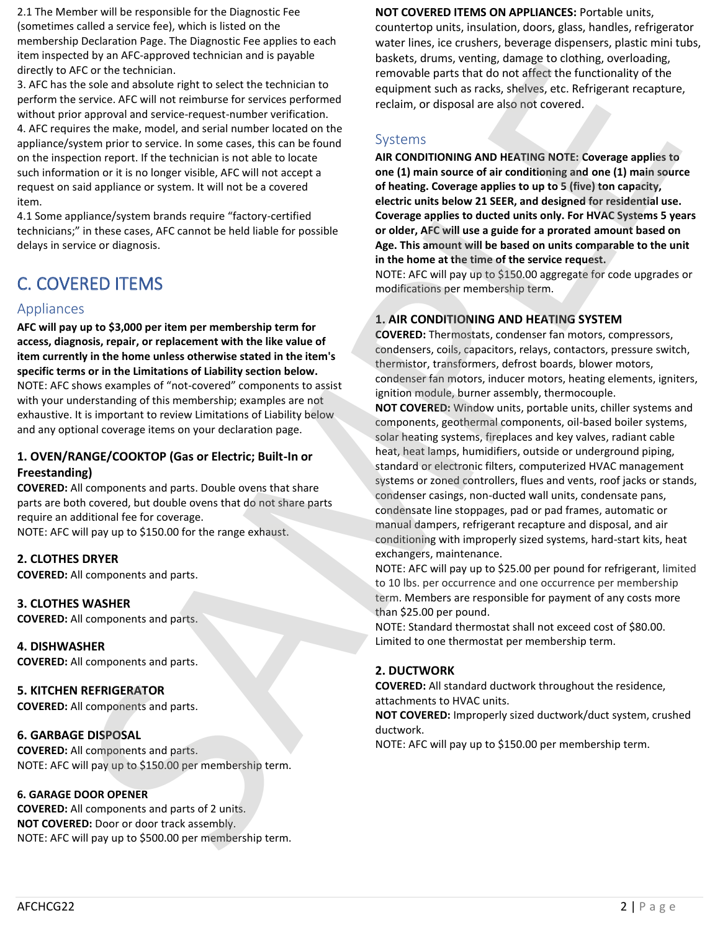2.1 The Member will be responsible for the Diagnostic Fee (sometimes called a service fee), which is listed on the membership Declaration Page. The Diagnostic Fee applies to each item inspected by an AFC-approved technician and is payable directly to AFC or the technician.

3. AFC has the sole and absolute right to select the technician to perform the service. AFC will not reimburse for services performed without prior approval and service-request-number verification. 4. AFC requires the make, model, and serial number located on the appliance/system prior to service. In some cases, this can be found on the inspection report. If the technician is not able to locate such information or it is no longer visible, AFC will not accept a request on said appliance or system. It will not be a covered item.

4.1 Some appliance/system brands require "factory-certified technicians;" in these cases, AFC cannot be held liable for possible delays in service or diagnosis.

# C. COVERED ITEMS

### Appliances

**AFC will pay up to \$3,000 per item per membership term for access, diagnosis, repair, or replacement with the like value of item currently in the home unless otherwise stated in the item's specific terms or in the Limitations of Liability section below.** NOTE: AFC shows examples of "not-covered" components to assist with your understanding of this membership; examples are not exhaustive. It is important to review Limitations of Liability below and any optional coverage items on your declaration page.

### **1. OVEN/RANGE/COOKTOP (Gas or Electric; Built-In or Freestanding)**

**COVERED:** All components and parts. Double ovens that share parts are both covered, but double ovens that do not share parts require an additional fee for coverage. NOTE: AFC will pay up to \$150.00 for the range exhaust.

### **2. CLOTHES DRYER**

**COVERED:** All components and parts.

### **3. CLOTHES WASHER**

**COVERED:** All components and parts.

**4. DISHWASHER COVERED:** All components and parts.

#### **5. KITCHEN REFRIGERATOR**

**COVERED:** All components and parts.

### **6. GARBAGE DISPOSAL**

**COVERED:** All components and parts. NOTE: AFC will pay up to \$150.00 per membership term.

### **6. GARAGE DOOR OPENER**

**COVERED:** All components and parts of 2 units. **NOT COVERED:** Door or door track assembly. NOTE: AFC will pay up to \$500.00 per membership term.

### **NOT COVERED ITEMS ON APPLIANCES:** Portable units,

countertop units, insulation, doors, glass, handles, refrigerator water lines, ice crushers, beverage dispensers, plastic mini tubs, baskets, drums, venting, damage to clothing, overloading, removable parts that do not affect the functionality of the equipment such as racks, shelves, etc. Refrigerant recapture, reclaim, or disposal are also not covered.

### Systems

**AIR CONDITIONING AND HEATING NOTE: Coverage applies to one (1) main source of air conditioning and one (1) main source of heating. Coverage applies to up to 5 (five) ton capacity, electric units below 21 SEER, and designed for residential use. Coverage applies to ducted units only. For HVAC Systems 5 years or older, AFC will use a guide for a prorated amount based on Age. This amount will be based on units comparable to the unit in the home at the time of the service request.**

NOTE: AFC will pay up to \$150.00 aggregate for code upgrades or modifications per membership term.

### **1. AIR CONDITIONING AND HEATING SYSTEM**

**COVERED:** Thermostats, condenser fan motors, compressors, condensers, coils, capacitors, relays, contactors, pressure switch, thermistor, transformers, defrost boards, blower motors, condenser fan motors, inducer motors, heating elements, igniters, ignition module, burner assembly, thermocouple.

**NOT COVERED:** Window units, portable units, chiller systems and components, geothermal components, oil-based boiler systems, solar heating systems, fireplaces and key valves, radiant cable heat, heat lamps, humidifiers, outside or underground piping, standard or electronic filters, computerized HVAC management systems or zoned controllers, flues and vents, roof jacks or stands, condenser casings, non-ducted wall units, condensate pans, condensate line stoppages, pad or pad frames, automatic or manual dampers, refrigerant recapture and disposal, and air conditioning with improperly sized systems, hard-start kits, heat exchangers, maintenance. Note that the two states in the two states in the two states in the two states in the two states in the two states in the two states in the two states in the two states in the two states in the two states in the two states Controlled the internal of the technique of the state of the state of the state of the state of the state of the state of the state of the state of the state of the state of the state of the state of the state of the state

NOTE: AFC will pay up to \$25.00 per pound for refrigerant, limited to 10 lbs. per occurrence and one occurrence per membership term. Members are responsible for payment of any costs more than \$25.00 per pound.

NOTE: Standard thermostat shall not exceed cost of \$80.00. Limited to one thermostat per membership term.

### **2. DUCTWORK**

**COVERED:** All standard ductwork throughout the residence, attachments to HVAC units.

**NOT COVERED:** Improperly sized ductwork/duct system, crushed ductwork.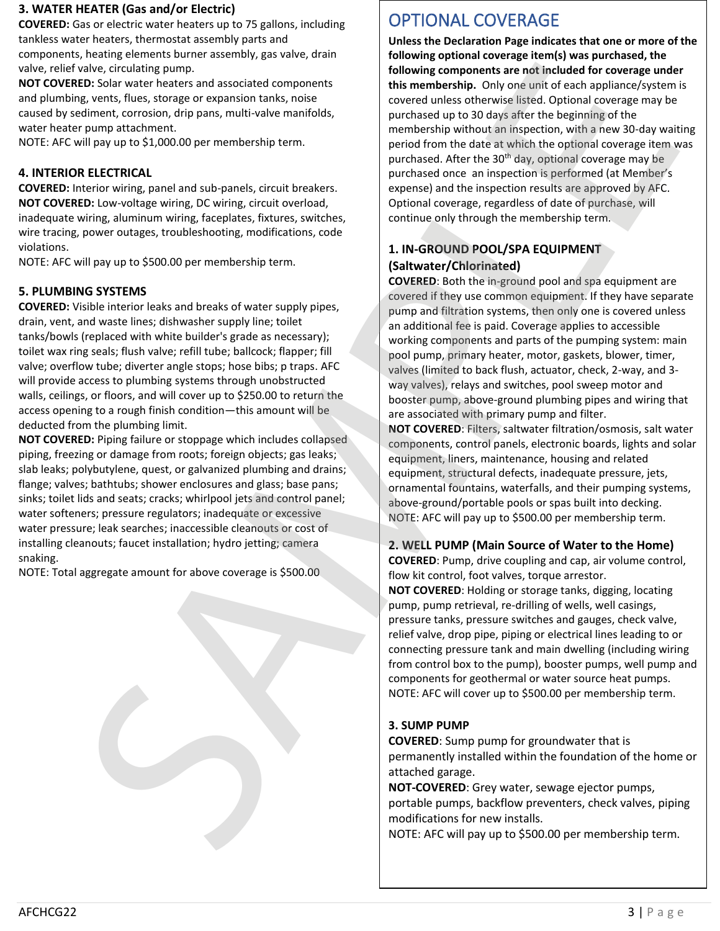### **3. WATER HEATER (Gas and/or Electric)**

**COVERED:** Gas or electric water heaters up to 75 gallons, including tankless water heaters, thermostat assembly parts and components, heating elements burner assembly, gas valve, drain valve, relief valve, circulating pump.

**NOT COVERED:** Solar water heaters and associated components and plumbing, vents, flues, storage or expansion tanks, noise caused by sediment, corrosion, drip pans, multi-valve manifolds, water heater pump attachment.

NOTE: AFC will pay up to \$1,000.00 per membership term.

### **4. INTERIOR ELECTRICAL**

**COVERED:** Interior wiring, panel and sub-panels, circuit breakers. **NOT COVERED:** Low-voltage wiring, DC wiring, circuit overload, inadequate wiring, aluminum wiring, faceplates, fixtures, switches, wire tracing, power outages, troubleshooting, modifications, code violations.

NOTE: AFC will pay up to \$500.00 per membership term.

### **5. PLUMBING SYSTEMS**

**COVERED:** Visible interior leaks and breaks of water supply pipes, drain, vent, and waste lines; dishwasher supply line; toilet tanks/bowls (replaced with white builder's grade as necessary); toilet wax ring seals; flush valve; refill tube; ballcock; flapper; fill valve; overflow tube; diverter angle stops; hose bibs; p traps. AFC will provide access to plumbing systems through unobstructed walls, ceilings, or floors, and will cover up to \$250.00 to return the access opening to a rough finish condition—this amount will be deducted from the plumbing limit.

**NOT COVERED:** Piping failure or stoppage which includes collapsed piping, freezing or damage from roots; foreign objects; gas leaks; slab leaks; polybutylene, quest, or galvanized plumbing and drains; flange; valves; bathtubs; shower enclosures and glass; base pans; sinks; toilet lids and seats; cracks; whirlpool jets and control panel; water softeners; pressure regulators; inadequate or excessive water pressure; leak searches; inaccessible cleanouts or cost of installing cleanouts; faucet installation; hydro jetting; camera snaking. wolve, coinciding turns, and we compute the same of the same of the same of the same of the same of the same of the same of the same of the same of the same of the same of the same of the same of the same of the same of t

NOTE: Total aggregate amount for above coverage is \$500.00

# OPTIONAL COVERAGE

**Unless the Declaration Page indicates that one or more of the following optional coverage item(s) was purchased, the following components are not included for coverage under this membership.** Only one unit of each appliance/system is covered unless otherwise listed. Optional coverage may be purchased up to 30 days after the beginning of the membership without an inspection, with a new 30-day waiting period from the date at which the optional coverage item was purchased. After the 30<sup>th</sup> day, optional coverage may be purchased once an inspection is performed (at Member's expense) and the inspection results are approved by AFC. Optional coverage, regardless of date of purchase, will continue only through the membership term. when the case of the control of the control of the control of the case of the control of the control of the control of the control of the control of the control of the control of the control of the control of the control

### **1. IN-GROUND POOL/SPA EQUIPMENT (Saltwater/Chlorinated)**

**COVERED**: Both the in-ground pool and spa equipment are covered if they use common equipment. If they have separate pump and filtration systems, then only one is covered unless an additional fee is paid. Coverage applies to accessible working components and parts of the pumping system: main pool pump, primary heater, motor, gaskets, blower, timer, valves (limited to back flush, actuator, check, 2-way, and 3 way valves), relays and switches, pool sweep motor and booster pump, above-ground plumbing pipes and wiring that are associated with primary pump and filter.

**NOT COVERED**: Filters, saltwater filtration/osmosis, salt water components, control panels, electronic boards, lights and solar equipment, liners, maintenance, housing and related equipment, structural defects, inadequate pressure, jets, ornamental fountains, waterfalls, and their pumping systems, above-ground/portable pools or spas built into decking. NOTE: AFC will pay up to \$500.00 per membership term.

### **2. WELL PUMP (Main Source of Water to the Home)**

**COVERED**: Pump, drive coupling and cap, air volume control, flow kit control, foot valves, torque arrestor.

**NOT COVERED**: Holding or storage tanks, digging, locating pump, pump retrieval, re-drilling of wells, well casings, pressure tanks, pressure switches and gauges, check valve, relief valve, drop pipe, piping or electrical lines leading to or connecting pressure tank and main dwelling (including wiring from control box to the pump), booster pumps, well pump and components for geothermal or water source heat pumps. NOTE: AFC will cover up to \$500.00 per membership term.

### **3. SUMP PUMP**

**COVERED**: Sump pump for groundwater that is permanently installed within the foundation of the home or attached garage.

**NOT-COVERED**: Grey water, sewage ejector pumps, portable pumps, backflow preventers, check valves, piping

NOTE: AFC will pay up to \$500.00 per membership term.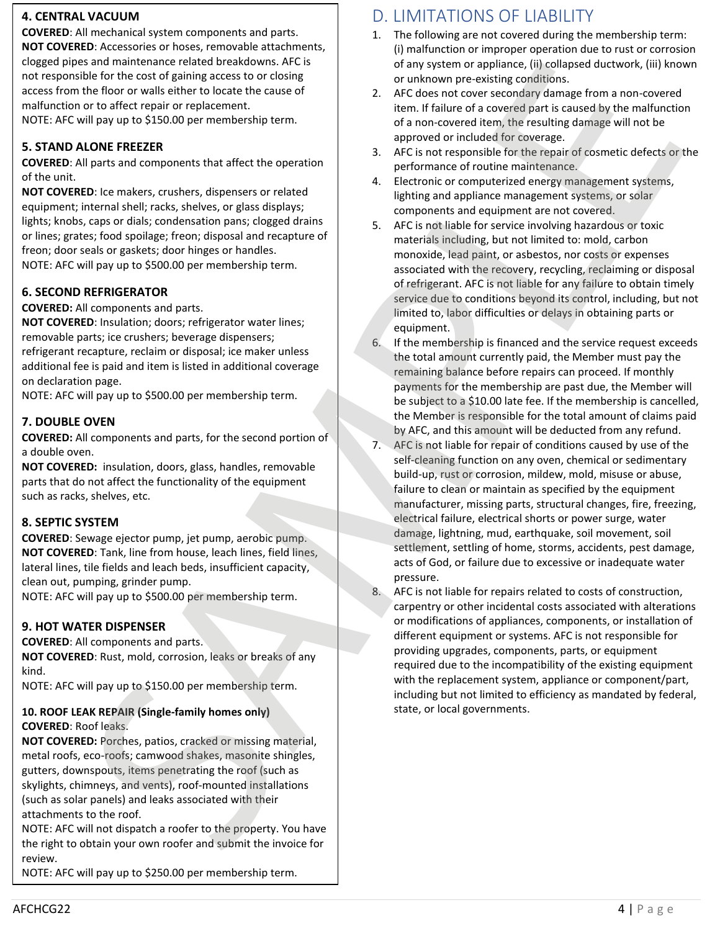### **4. CENTRAL VACUUM**

**COVERED**: All mechanical system components and parts. **NOT COVERED**: Accessories or hoses, removable attachments, clogged pipes and maintenance related breakdowns. AFC is not responsible for the cost of gaining access to or closing access from the floor or walls either to locate the cause of malfunction or to affect repair or replacement. NOTE: AFC will pay up to \$150.00 per membership term.

### **5. STAND ALONE FREEZER**

**COVERED**: All parts and components that affect the operation of the unit.

**NOT COVERED**: Ice makers, crushers, dispensers or related equipment; internal shell; racks, shelves, or glass displays; lights; knobs, caps or dials; condensation pans; clogged drains or lines; grates; food spoilage; freon; disposal and recapture of freon; door seals or gaskets; door hinges or handles. NOTE: AFC will pay up to \$500.00 per membership term. clogged<br>
not res<br>
access <sup>1</sup><br>
malfun<br>
NOTE:<br> **5. STAI**<br>
COVERI<br>
of the L<br>
of the L<br>
NOT CC<br>
equipm<br>
lights; k<br>
or lines<br>
freen; (<br>
NOTE:<br>
6. SEC<br>
COVERI<br>
NOTE:<br>
AOTE:<br>
T. DOL<br>
TOT COVERI<br>
a doubl<br>
NOTE:<br>
7. DOL<br>
DOTE:<br>
7.

#### **6. SECOND REFRIGERATOR**

**COVERED:** All components and parts.

**NOT COVERED**: Insulation; doors; refrigerator water lines; removable parts; ice crushers; beverage dispensers; refrigerant recapture, reclaim or disposal; ice maker unless additional fee is paid and item is listed in additional coverage on declaration page.

NOTE: AFC will pay up to \$500.00 per membership term.

#### **7. DOUBLE OVEN**

**COVERED:** All components and parts, for the second portion of a double oven.

**NOT COVERED:** insulation, doors, glass, handles, removable parts that do not affect the functionality of the equipment such as racks, shelves, etc.

### **8. SEPTIC SYSTEM**

**COVERED**: Sewage ejector pump, jet pump, aerobic pump. **NOT COVERED**: Tank, line from house, leach lines, field lines, lateral lines, tile fields and leach beds, insufficient capacity, clean out, pumping, grinder pump.

NOTE: AFC will pay up to \$500.00 per membership term.

#### **9. HOT WATER DISPENSER**

**COVERED**: All components and parts.

**NOT COVERED**: Rust, mold, corrosion, leaks or breaks of any kind.

NOTE: AFC will pay up to \$150.00 per membership term.

#### **10. ROOF LEAK REPAIR (Single-family homes only) COVERED**: Roof leaks.

**NOT COVERED:** Porches, patios, cracked or missing material, metal roofs, eco-roofs; camwood shakes, masonite shingles, gutters, downspouts, items penetrating the roof (such as skylights, chimneys, and vents), roof-mounted installations (such as solar panels) and leaks associated with their attachments to the roof.

NOTE: AFC will not dispatch a roofer to the property. You have the right to obtain your own roofer and submit the invoice for

NOTE: AFC will pay up to \$250.00 per membership term.

## D. LIMITATIONS OF LIABILITY

- 1. The following are not covered during the membership term: (i) malfunction or improper operation due to rust or corrosion of any system or appliance, (ii) collapsed ductwork, (iii) known or unknown pre-existing conditions.
- 2. AFC does not cover secondary damage from a non-covered item. If failure of a covered part is caused by the malfunction of a non-covered item, the resulting damage will not be approved or included for coverage.
- 3. AFC is not responsible for the repair of cosmetic defects or the performance of routine maintenance.
- 4. Electronic or computerized energy management systems, lighting and appliance management systems, or solar components and equipment are not covered.
- 5. AFC is not liable for service involving hazardous or toxic materials including, but not limited to: mold, carbon monoxide, lead paint, or asbestos, nor costs or expenses associated with the recovery, recycling, reclaiming or disposal of refrigerant. AFC is not liable for any failure to obtain timely service due to conditions beyond its control, including, but not limited to, labor difficulties or delays in obtaining parts or equipment.
- 6. If the membership is financed and the service request exceeds the total amount currently paid, the Member must pay the remaining balance before repairs can proceed. If monthly payments for the membership are past due, the Member will be subject to a \$10.00 late fee. If the membership is cancelled, the Member is responsible for the total amount of claims paid by AFC, and this amount will be deducted from any refund.
- 7. AFC is not liable for repair of conditions caused by use of the self-cleaning function on any oven, chemical or sedimentary build-up, rust or corrosion, mildew, mold, misuse or abuse, failure to clean or maintain as specified by the equipment manufacturer, missing parts, structural changes, fire, freezing, electrical failure, electrical shorts or power surge, water damage, lightning, mud, earthquake, soil movement, soil settlement, settling of home, storms, accidents, pest damage, acts of God, or failure due to excessive or inadequate water pressure. s and material of the state of the state of the state of the state of the state of the state of the state of the state of the state of the state of the state of the state of the state of the state of the state of the state
	- 8. AFC is not liable for repairs related to costs of construction, carpentry or other incidental costs associated with alterations or modifications of appliances, components, or installation of different equipment or systems. AFC is not responsible for providing upgrades, components, parts, or equipment required due to the incompatibility of the existing equipment with the replacement system, appliance or component/part, including but not limited to efficiency as mandated by federal, state, or local governments.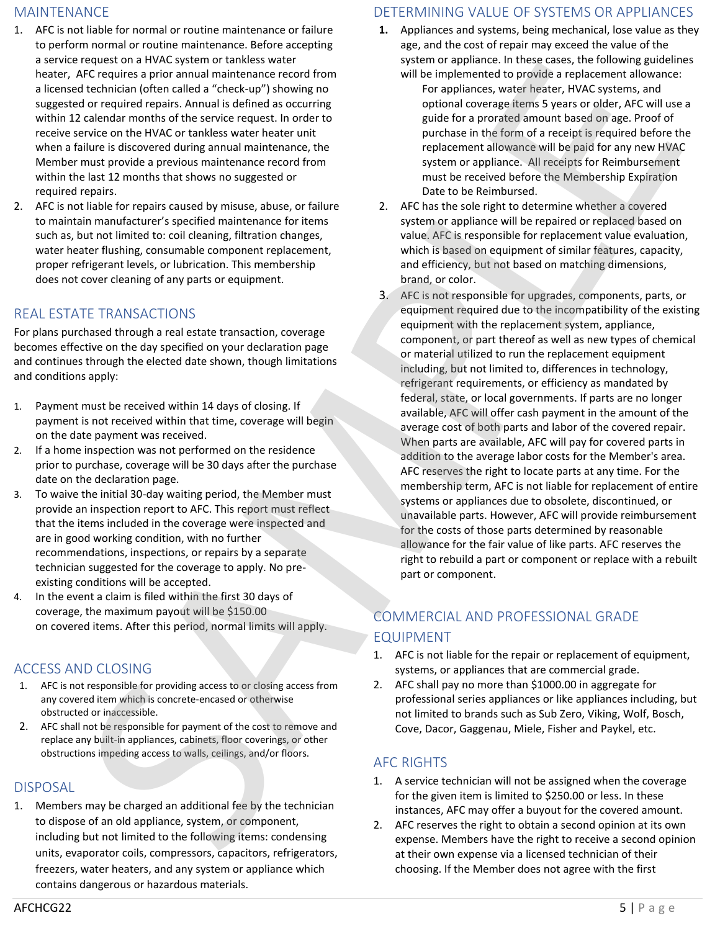### MAINTENANCE

- 1. AFC is not liable for normal or routine maintenance or failure to perform normal or routine maintenance. Before accepting a service request on a HVAC system or tankless water heater, AFC requires a prior annual maintenance record from a licensed technician (often called a "check-up") showing no suggested or required repairs. Annual is defined as occurring within 12 calendar months of the service request. In order to receive service on the HVAC or tankless water heater unit when a failure is discovered during annual maintenance, the Member must provide a previous maintenance record from within the last 12 months that shows no suggested or required repairs.
- 2. AFC is not liable for repairs caused by misuse, abuse, or failure to maintain manufacturer's specified maintenance for items such as, but not limited to: coil cleaning, filtration changes, water heater flushing, consumable component replacement, proper refrigerant levels, or lubrication. This membership does not cover cleaning of any parts or equipment.

## REAL ESTATE TRANSACTIONS

For plans purchased through a real estate transaction, coverage becomes effective on the day specified on your declaration page and continues through the elected date shown, though limitations and conditions apply:

- 1. Payment must be received within 14 days of closing. If payment is not received within that time, coverage will begin on the date payment was received.
- 2. If a home inspection was not performed on the residence prior to purchase, coverage will be 30 days after the purchase date on the declaration page.
- 3. To waive the initial 30-day waiting period, the Member must provide an inspection report to AFC. This report must reflect that the items included in the coverage were inspected and are in good working condition, with no further recommendations, inspections, or repairs by a separate technician suggested for the coverage to apply. No preexisting conditions will be accepted.
- 4. In the event a claim is filed within the first 30 days of coverage, the maximum payout will be \$150.00 on covered items. After this period, normal limits will apply.

## ACCESS AND CLOSING

- 1. AFC is not responsible for providing access to or closing access from any covered item which is concrete-encased or otherwise obstructed or inaccessible.
- 2. AFC shall not be responsible for payment of the cost to remove and replace any built-in appliances, cabinets, floor coverings, or other obstructions impeding access to walls, ceilings, and/or floors.

## DISPOSAL

1. Members may be charged an additional fee by the technician to dispose of an old appliance, system, or component, including but not limited to the following items: condensing units, evaporator coils, compressors, capacitors, refrigerators, freezers, water heaters, and any system or appliance which contains dangerous or hazardous materials.

## DETERMINING VALUE OF SYSTEMS OR APPLIANCES

- **1.** Appliances and systems, being mechanical, lose value as they age, and the cost of repair may exceed the value of the system or appliance. In these cases, the following guidelines
	- will be implemented to provide a replacement allowance: For appliances, water heater, HVAC systems, and optional coverage items 5 years or older, AFC will use a guide for a prorated amount based on age. Proof of purchase in the form of a receipt is required before the replacement allowance will be paid for any new HVAC system or appliance. All receipts for Reimbursement must be received before the Membership Expiration Date to be Reimbursed.
- 2. AFC has the sole right to determine whether a covered system or appliance will be repaired or replaced based on value. AFC is responsible for replacement value evaluation, which is based on equipment of similar features, capacity, and efficiency, but not based on matching dimensions, brand, or color.
- 3. AFC is not responsible for upgrades, components, parts, or equipment required due to the incompatibility of the existing equipment with the replacement system, appliance, component, or part thereof as well as new types of chemical or material utilized to run the replacement equipment including, but not limited to, differences in technology, refrigerant requirements, or efficiency as mandated by federal, state, or local governments. If parts are no longer available, AFC will offer cash payment in the amount of the average cost of both parts and labor of the covered repair. When parts are available, AFC will pay for covered parts in addition to the average labor costs for the Member's area. AFC reserves the right to locate parts at any time. For the membership term, AFC is not liable for replacement of entire systems or appliances due to obsolete, discontinued, or unavailable parts. However, AFC will provide reimbursement for the costs of those parts determined by reasonable allowance for the fair value of like parts. AFC reserves the right to rebuild a part or component or replace with a rebuilt part or component. Facebook of the conservation of the state of the state of the state of the state of the state of the state of the state of the state of the state of the state of the state of the state of the state of the state of the sta Highest on the specific state and the specific state and the specific state is the specific state and the specific state and the specific state and the specific state is the specific state is the specific state is the spe

## COMMERCIAL AND PROFESSIONAL GRADE EQUIPMENT

- 1. AFC is not liable for the repair or replacement of equipment, systems, or appliances that are commercial grade.
- 2. AFC shall pay no more than \$1000.00 in aggregate for professional series appliances or like appliances including, but not limited to brands such as Sub Zero, Viking, Wolf, Bosch, Cove, Dacor, Gaggenau, Miele, Fisher and Paykel, etc.

## AFC RIGHTS

- 1. A service technician will not be assigned when the coverage for the given item is limited to \$250.00 or less. In these instances, AFC may offer a buyout for the covered amount.
- 2. AFC reserves the right to obtain a second opinion at its own expense. Members have the right to receive a second opinion choosing. If the Member does not agree with the first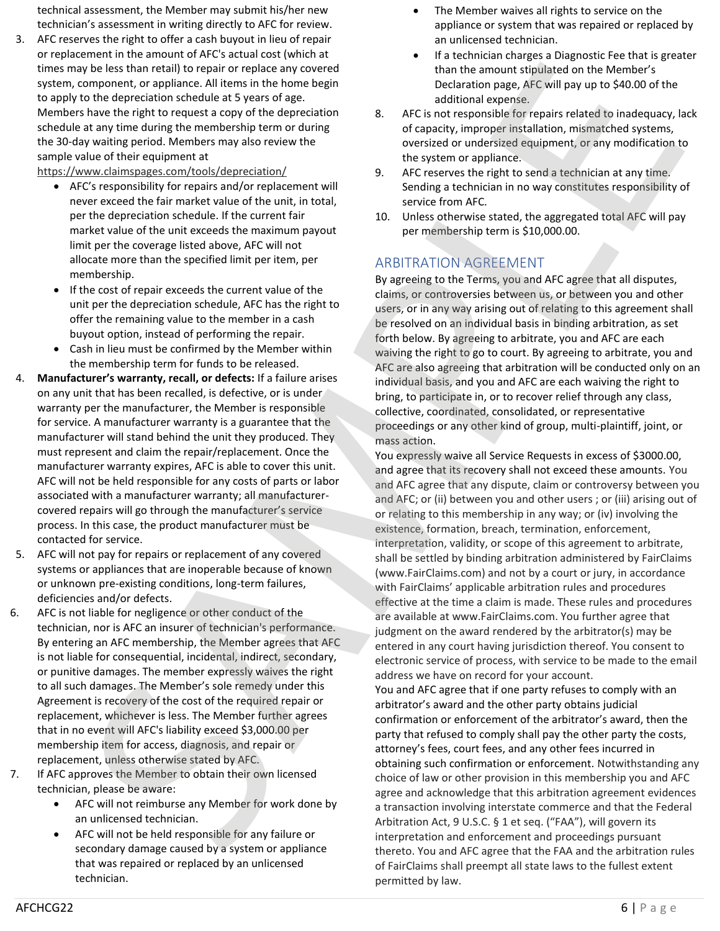technical assessment, the Member may submit his/her new technician's assessment in writing directly to AFC for review.

3. AFC reserves the right to offer a cash buyout in lieu of repair or replacement in the amount of AFC's actual cost (which at times may be less than retail) to repair or replace any covered system, component, or appliance. All items in the home begin to apply to the depreciation schedule at 5 years of age. Members have the right to request a copy of the depreciation schedule at any time during the membership term or during the 30-day waiting period. Members may also review the sample value of their equipment at

https://www.claimspages.com/tools/depreciation/

- AFC's responsibility for repairs and/or replacement will never exceed the fair market value of the unit, in total, per the depreciation schedule. If the current fair market value of the unit exceeds the maximum payout limit per the coverage listed above, AFC will not allocate more than the specified limit per item, per membership.
- If the cost of repair exceeds the current value of the unit per the depreciation schedule, AFC has the right to offer the remaining value to the member in a cash buyout option, instead of performing the repair.
- Cash in lieu must be confirmed by the Member within the membership term for funds to be released.
- 4. **Manufacturer's warranty, recall, or defects:** If a failure arises on any unit that has been recalled, is defective, or is under warranty per the manufacturer, the Member is responsible for service. A manufacturer warranty is a guarantee that the manufacturer will stand behind the unit they produced. They must represent and claim the repair/replacement. Once the manufacturer warranty expires, AFC is able to cover this unit. AFC will not be held responsible for any costs of parts or labor associated with a manufacturer warranty; all manufacturercovered repairs will go through the manufacturer's service process. In this case, the product manufacturer must be contacted for service.
- 5. AFC will not pay for repairs or replacement of any covered systems or appliances that are inoperable because of known or unknown pre-existing conditions, long-term failures, deficiencies and/or defects.
- 6. AFC is not liable for negligence or other conduct of the technician, nor is AFC an insurer of technician's performance. By entering an AFC membership, the Member agrees that AFC is not liable for consequential, incidental, indirect, secondary, or punitive damages. The member expressly waives the right to all such damages. The Member's sole remedy under this Agreement is recovery of the cost of the required repair or replacement, whichever is less. The Member further agrees that in no event will AFC's liability exceed \$3,000.00 per membership item for access, diagnosis, and repair or replacement, unless otherwise stated by AFC.
- 7. If AFC approves the Member to obtain their own licensed technician, please be aware:
	- AFC will not reimburse any Member for work done by an unlicensed technician.
	- AFC will not be held responsible for any failure or secondary damage caused by a system or appliance that was repaired or replaced by an unlicensed technician.
- The Member waives all rights to service on the appliance or system that was repaired or replaced by an unlicensed technician.
- If a technician charges a Diagnostic Fee that is greater than the amount stipulated on the Member's Declaration page, AFC will pay up to \$40.00 of the additional expense.
- 8. AFC is not responsible for repairs related to inadequacy, lack of capacity, improper installation, mismatched systems, oversized or undersized equipment, or any modification to the system or appliance.
- 9. AFC reserves the right to send a technician at any time. Sending a technician in no way constitutes responsibility of service from AFC.
- 10. Unless otherwise stated, the aggregated total AFC will pay per membership term is \$10,000.00.

## ARBITRATION AGREEMENT

By agreeing to the Terms, you and AFC agree that all disputes, claims, or controversies between us, or between you and other users, or in any way arising out of relating to this agreement shall be resolved on an individual basis in binding arbitration, as set forth below. By agreeing to arbitrate, you and AFC are each waiving the right to go to court. By agreeing to arbitrate, you and AFC are also agreeing that arbitration will be conducted only on an individual basis, and you and AFC are each waiving the right to bring, to participate in, or to recover relief through any class, collective, coordinated, consolidated, or representative proceedings or any other kind of group, multi-plaintiff, joint, or mass action.

You expressly waive all Service Requests in excess of \$3000.00, and agree that its recovery shall not exceed these amounts. You and AFC agree that any dispute, claim or controversy between you and AFC; or (ii) between you and other users ; or (iii) arising out of or relating to this membership in any way; or (iv) involving the existence, formation, breach, termination, enforcement, interpretation, validity, or scope of this agreement to arbitrate, shall be settled by binding arbitration administered by FairClaims (www.FairClaims.com) and not by a court or jury, in accordance with FairClaims' applicable arbitration rules and procedures effective at the time a claim is made. These rules and procedures are available at www.FairClaims.com. You further agree that judgment on the award rendered by the arbitrator(s) may be entered in any court having jurisdiction thereof. You consent to electronic service of process, with service to be made to the email address we have on record for your account. The loss than retail by repair or spectral particle applies that the proposition of the the responses to the controller than the controller than the controller than the controller than the controller than the controller t

You and AFC agree that if one party refuses to comply with an arbitrator's award and the other party obtains judicial confirmation or enforcement of the arbitrator's award, then the party that refused to comply shall pay the other party the costs, attorney's fees, court fees, and any other fees incurred in obtaining such confirmation or enforcement. Notwithstanding any choice of law or other provision in this membership you and AFC agree and acknowledge that this arbitration agreement evidences a transaction involving interstate commerce and that the Federal Arbitration Act, 9 U.S.C. § 1 et seq. ("FAA"), will govern its interpretation and enforcement and proceedings pursuant thereto. You and AFC agree that the FAA and the arbitration rules of FairClaims shall preempt all state laws to the fullest extent permitted by law.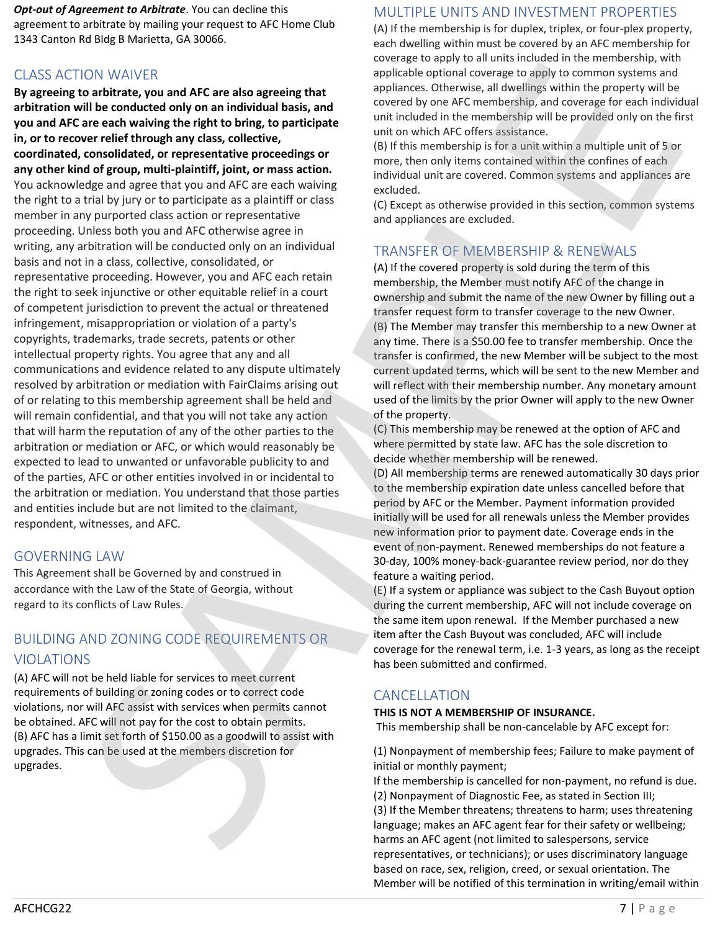*Opt-out of Agreement to Arbitrate*. You can decline this agreement to arbitrate by mailing your request to AFC Home Club 1343 Canton Rd Bldg B Marietta, GA 30066.

## CLASS ACTION WAIVER

**By agreeing to arbitrate, you and AFC are also agreeing that arbitration will be conducted only on an individual basis, and you and AFC are each waiving the right to bring, to participate in, or to recover relief through any class, collective, coordinated, consolidated, or representative proceedings or any other kind of group, multi-plaintiff, joint, or mass action.** You acknowledge and agree that you and AFC are each waiving the right to a trial by jury or to participate as a plaintiff or class member in any purported class action or representative proceeding. Unless both you and AFC otherwise agree in writing, any arbitration will be conducted only on an individual basis and not in a class, collective, consolidated, or representative proceeding. However, you and AFC each retain the right to seek injunctive or other equitable relief in a court of competent jurisdiction to prevent the actual or threatened infringement, misappropriation or violation of a party's copyrights, trademarks, trade secrets, patents or other intellectual property rights. You agree that any and all communications and evidence related to any dispute ultimately resolved by arbitration or mediation with FairClaims arising out of or relating to this membership agreement shall be held and will remain confidential, and that you will not take any action that will harm the reputation of any of the other parties to the arbitration or mediation or AFC, or which would reasonably be expected to lead to unwanted or unfavorable publicity to and of the parties, AFC or other entities involved in or incidental to the arbitration or mediation. You understand that those parties and entities include but are not limited to the claimant, respondent, witnesses, and AFC. CO. WANTER with a state and **AFC** extends the **a** state of the state of the control of the state and **AFC extends the state of the state of the state of the state of the state of the state of the state of the state of the** 

### GOVERNING LAW

This Agreement shall be Governed by and construed in accordance with the Law of the State of Georgia, without regard to its conflicts of Law Rules.

## BUILDING AND ZONING CODE REQUIREMENTS OR VIOLATIONS

(A) AFC will not be held liable for services to meet current requirements of building or zoning codes or to correct code violations, nor will AFC assist with services when permits cannot be obtained. AFC will not pay for the cost to obtain permits. (B) AFC has a limit set forth of \$150.00 as a goodwill to assist with upgrades. This can be used at the members discretion for upgrades.

## MULTIPLE UNITS AND INVESTMENT PROPERTIES

(A) If the membership is for duplex, triplex, or four-plex property, each dwelling within must be covered by an AFC membership for coverage to apply to all units included in the membership, with applicable optional coverage to apply to common systems and appliances. Otherwise, all dwellings within the property will be covered by one AFC membership, and coverage for each individual unit included in the membership will be provided only on the first unit on which AFC offers assistance.

(B) If this membership is for a unit within a multiple unit of 5 or more, then only items contained within the confines of each individual unit are covered. Common systems and appliances are excluded.

(C) Except as otherwise provided in this section, common systems and appliances are excluded.

## TRANSFER OF MEMBERSHIP & RENEWALS

(A) If the covered property is sold during the term of this membership, the Member must notify AFC of the change in ownership and submit the name of the new Owner by filling out a transfer request form to transfer coverage to the new Owner. (B) The Member may transfer this membership to a new Owner at any time. There is a \$50.00 fee to transfer membership. Once the transfer is confirmed, the new Member will be subject to the most current updated terms, which will be sent to the new Member and will reflect with their membership number. Any monetary amount used of the limits by the prior Owner will apply to the new Owner of the property.

(C) This membership may be renewed at the option of AFC and where permitted by state law. AFC has the sole discretion to decide whether membership will be renewed.

(D) All membership terms are renewed automatically 30 days prior to the membership expiration date unless cancelled before that period by AFC or the Member. Payment information provided initially will be used for all renewals unless the Member provides new information prior to payment date. Coverage ends in the event of non-payment. Renewed memberships do not feature a 30-day, 100% money-back-guarantee review period, nor do they feature a waiting period.

(E) If a system or appliance was subject to the Cash Buyout option during the current membership, AFC will not include coverage on the same item upon renewal. If the Member purchased a new item after the Cash Buyout was concluded, AFC will include coverage for the renewal term, i.e. 1-3 years, as long as the receipt has been submitted and confirmed.

## **CANCELLATION**

### **THIS IS NOT A MEMBERSHIP OF INSURANCE.**

This membership shall be non-cancelable by AFC except for:

(1) Nonpayment of membership fees; Failure to make payment of initial or monthly payment;

If the membership is cancelled for non-payment, no refund is due. (2) Nonpayment of Diagnostic Fee, as stated in Section III; (3) If the Member threatens; threatens to harm; uses threatening language; makes an AFC agent fear for their safety or wellbeing; harms an AFC agent (not limited to salespersons, service representatives, or technicians); or uses discriminatory language based on race, sex, religion, creed, or sexual orientation. The Member will be notified of this termination in writing/email within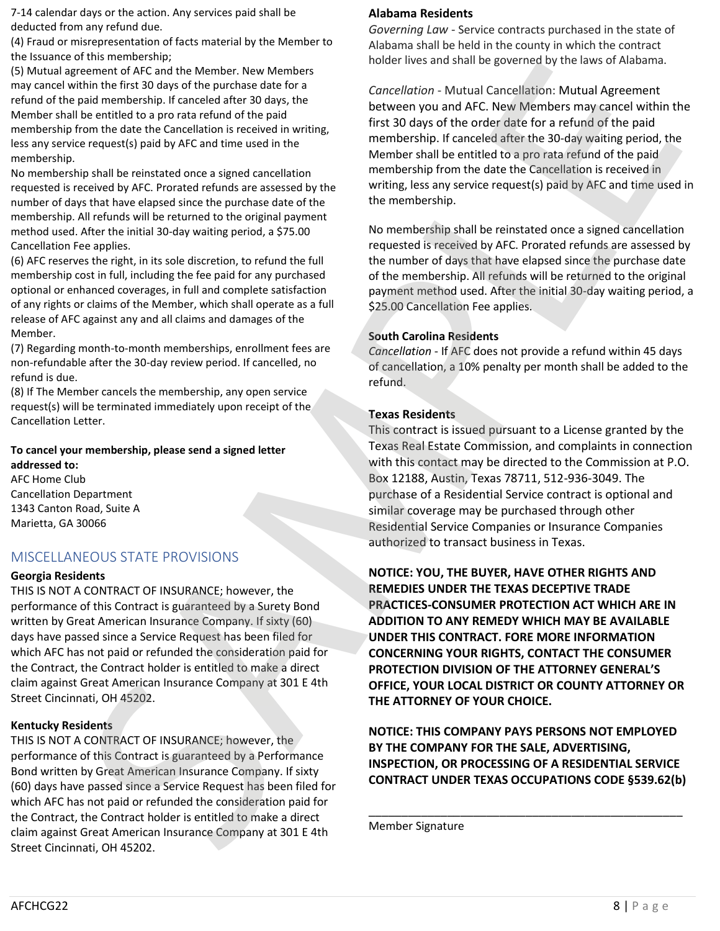7-14 calendar days or the action. Any services paid shall be deducted from any refund due.

(4) Fraud or misrepresentation of facts material by the Member to the Issuance of this membership;

(5) Mutual agreement of AFC and the Member. New Members may cancel within the first 30 days of the purchase date for a refund of the paid membership. If canceled after 30 days, the Member shall be entitled to a pro rata refund of the paid membership from the date the Cancellation is received in writing, less any service request(s) paid by AFC and time used in the membership.

No membership shall be reinstated once a signed cancellation requested is received by AFC. Prorated refunds are assessed by the number of days that have elapsed since the purchase date of the membership. All refunds will be returned to the original payment method used. After the initial 30-day waiting period, a \$75.00 Cancellation Fee applies.

(6) AFC reserves the right, in its sole discretion, to refund the full membership cost in full, including the fee paid for any purchased optional or enhanced coverages, in full and complete satisfaction of any rights or claims of the Member, which shall operate as a full release of AFC against any and all claims and damages of the Member.

(7) Regarding month-to-month memberships, enrollment fees are non-refundable after the 30-day review period. If cancelled, no refund is due.

(8) If The Member cancels the membership, any open service request(s) will be terminated immediately upon receipt of the Cancellation Letter.

#### **To cancel your membership, please send a signed letter addressed to:**

AFC Home Club Cancellation Department 1343 Canton Road, Suite A Marietta, GA 30066

## MISCELLANEOUS STATE PROVISIONS

### **Georgia Residents**

THIS IS NOT A CONTRACT OF INSURANCE; however, the performance of this Contract is guaranteed by a Surety Bond written by Great American Insurance Company. If sixty (60) days have passed since a Service Request has been filed for which AFC has not paid or refunded the consideration paid for the Contract, the Contract holder is entitled to make a direct claim against Great American Insurance Company at 301 E 4th Street Cincinnati, OH 45202.

### **Kentucky Residents**

THIS IS NOT A CONTRACT OF INSURANCE; however, the performance of this Contract is guaranteed by a Performance Bond written by Great American Insurance Company. If sixty (60) days have passed since a Service Request has been filed for which AFC has not paid or refunded the consideration paid for the Contract, the Contract holder is entitled to make a direct claim against Great American Insurance Company at 301 E 4th Street Cincinnati, OH 45202.

## **Alabama Residents**

*Governing Law* - Service contracts purchased in the state of Alabama shall be held in the county in which the contract holder lives and shall be governed by the laws of Alabama.

*Cancellation* - Mutual Cancellation: Mutual Agreement between you and AFC. New Members may cancel within the first 30 days of the order date for a refund of the paid membership. If canceled after the 30-day waiting period, the Member shall be entitled to a pro rata refund of the paid membership from the date the Cancellation is received in writing, less any service request(s) paid by AFC and time used in the membership.

No membership shall be reinstated once a signed cancellation requested is received by AFC. Prorated refunds are assessed by the number of days that have elapsed since the purchase date of the membership. All refunds will be returned to the original payment method used. After the initial 30-day waiting period, a \$25.00 Cancellation Fee applies.

### **South Carolina Residents**

*Cancellation* - If AFC does not provide a refund within 45 days of cancellation, a 10% penalty per month shall be added to the refund.

### **Texas Residents**

This contract is issued pursuant to a License granted by the Texas Real Estate Commission, and complaints in connection with this contact may be directed to the Commission at P.O. Box 12188, Austin, Texas 78711, 512-936-3049. The purchase of a Residential Service contract is optional and similar coverage may be purchased through other Residential Service Companies or Insurance Companies authorized to transact business in Texas.

**NOTICE: YOU, THE BUYER, HAVE OTHER RIGHTS AND REMEDIES UNDER THE TEXAS DECEPTIVE TRADE PRACTICES-CONSUMER PROTECTION ACT WHICH ARE IN ADDITION TO ANY REMEDY WHICH MAY BE AVAILABLE UNDER THIS CONTRACT. FORE MORE INFORMATION CONCERNING YOUR RIGHTS, CONTACT THE CONSUMER PROTECTION DIVISION OF THE ATTORNEY GENERAL'S OFFICE, YOUR LOCAL DISTRICT OR COUNTY ATTORNEY OR THE ATTORNEY OF YOUR CHOICE.** ES the control of the Meridian intervention of the Meridian of the Meridian intervention of the Meridian intervention of the Meridian intervention of the Meridian intervention of the Meridian intervention of the Meridian even to the track to the total that is the total the same the same that is the same the same that is the same the same that is the same the same that is the same that is the same that is the same that is the same that is

**NOTICE: THIS COMPANY PAYS PERSONS NOT EMPLOYED BY THE COMPANY FOR THE SALE, ADVERTISING, INSPECTION, OR PROCESSING OF A RESIDENTIAL SERVICE CONTRACT UNDER TEXAS OCCUPATIONS CODE §539.62(b)**